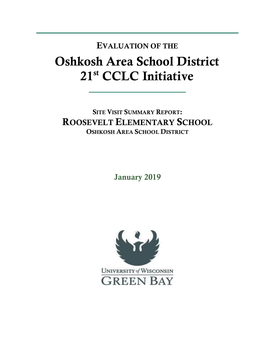## **Oshkosh Area School District 21st CCLC Initiative EVALUATION OF THE**

**SITE VISIT SUMMARY REPORT: ROOSEVELT ELEMENTARY SCHOOL OSHKOSH AREA SCHOOL DISTRICT** 

**January 2019**

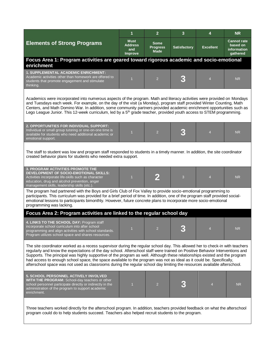|                                                                                                                                                                                                                                                                                                                                                                                                                                                                                                                                                                                                                                                | 1                                                      | $\overline{2}$                         | 3                   | 4                | <b>NR</b>                                                 |  |  |  |
|------------------------------------------------------------------------------------------------------------------------------------------------------------------------------------------------------------------------------------------------------------------------------------------------------------------------------------------------------------------------------------------------------------------------------------------------------------------------------------------------------------------------------------------------------------------------------------------------------------------------------------------------|--------------------------------------------------------|----------------------------------------|---------------------|------------------|-----------------------------------------------------------|--|--|--|
| <b>Elements of Strong Programs</b>                                                                                                                                                                                                                                                                                                                                                                                                                                                                                                                                                                                                             | <b>Must</b><br><b>Address</b><br>and<br><b>Improve</b> | Some<br><b>Progress</b><br><b>Made</b> | <b>Satisfactory</b> | <b>Excellent</b> | <b>Cannot rate</b><br>based on<br>information<br>gathered |  |  |  |
| Focus Area 1: Program activities are geared toward rigorous academic and socio-emotional<br>enrichment                                                                                                                                                                                                                                                                                                                                                                                                                                                                                                                                         |                                                        |                                        |                     |                  |                                                           |  |  |  |
| 1. SUPPLEMENTAL ACADEMIC ENRICHMENT:<br>Academic activities other than homework are offered to<br>students that promote engagement and stimulate<br>thinking.                                                                                                                                                                                                                                                                                                                                                                                                                                                                                  |                                                        | $\overline{2}$                         |                     | $\overline{4}$   | NR.                                                       |  |  |  |
| Academics were incorporated into numerous aspects of the program. Math and literacy activities were provided on Mondays<br>and Tuesdays each week. For example, on the day of the visit (a Monday), program staff provided Winter Counting, Math<br>Centers, and Math Domino War. In addition, some community partners provided academic enrichment opportunities such as<br>Lego League Junior. This 12-week curriculum, led by a 5 <sup>th</sup> grade teacher, provided youth access to STEM programming.                                                                                                                                   |                                                        |                                        |                     |                  |                                                           |  |  |  |
| 2. OPPORTUNITIES FOR INDIVIDUAL SUPPORT:<br>Individual or small group tutoring or one-on-one time is<br>available for students who need additional academic or<br>emotional support.                                                                                                                                                                                                                                                                                                                                                                                                                                                           | $\overline{1}$                                         | $\overline{2}$                         |                     | $\overline{4}$   | <b>NR</b>                                                 |  |  |  |
| The staff to student was low and program staff responded to students in a timely manner. In addition, the site coordinator<br>created behavior plans for students who needed extra support.                                                                                                                                                                                                                                                                                                                                                                                                                                                    |                                                        |                                        |                     |                  |                                                           |  |  |  |
| 3. PROGRAM ACTIVITIES PROMOTE THE<br>DEVELOPMENT OF SOCIO-EMOTIONAL SKILLS:<br>Activities incorporate life-skills such as character<br>education, drug and alcohol prevention, anger<br>management skills, leadership skills (etc.)                                                                                                                                                                                                                                                                                                                                                                                                            | $\overline{1}$                                         | 2                                      | 3                   | $\overline{4}$   | <b>NR</b>                                                 |  |  |  |
| The program had partnered with the Boys and Girls Club of Fox Valley to provide socio-emotional programming to<br>participants. This curriculum was provided for a brief period of time. In addition, one of the program staff provided social-<br>emotional lessons to participants bimonthly. However, future concrete plans to incorporate more socio-emotional<br>programming was lacking.                                                                                                                                                                                                                                                 |                                                        |                                        |                     |                  |                                                           |  |  |  |
| Focus Area 2: Program activities are linked to the regular school day                                                                                                                                                                                                                                                                                                                                                                                                                                                                                                                                                                          |                                                        |                                        |                     |                  |                                                           |  |  |  |
| 4. LINKS TO THE SCHOOL DAY: Program staff<br>incorporate school curriculum into after school<br>programming and align activities with school standards.<br>Program utilizes school space and shares resources.                                                                                                                                                                                                                                                                                                                                                                                                                                 | $\mathbf{1}$                                           | $\mathcal{P}$                          |                     |                  | N <sub>R</sub>                                            |  |  |  |
| The site coordinator worked as a recess supervisor during the regular school day. This allowed her to check-in with teachers<br>regularly and know the expectations of the day school. Afterschool staff were trained on Positive Behavior Interventions and<br>Supports. The principal was highly supportive of the program as well. Although these relationships existed and the program<br>had access to enough school space, the space available to the program was not as ideal as it could be. Specifically,<br>afterschool space was not used as classrooms during the regular school day limiting the resources available afterschool. |                                                        |                                        |                     |                  |                                                           |  |  |  |
| 5. SCHOOL PERSONNEL ACTIVELY INVOLVED<br>WITH THE PROGRAM: School-day teachers or other<br>school personnel participate directly or indirectly in the<br>administration of the program to support academic<br>enrichment.                                                                                                                                                                                                                                                                                                                                                                                                                      | $\overline{1}$                                         | $\overline{2}$                         |                     | 4                | <b>NR</b>                                                 |  |  |  |
| Three teachers worked directly for the afterschool program. In addition, teachers provided feedback on what the afterschool<br>program could do to help students succeed. Teachers also helped recruit students to the program.                                                                                                                                                                                                                                                                                                                                                                                                                |                                                        |                                        |                     |                  |                                                           |  |  |  |